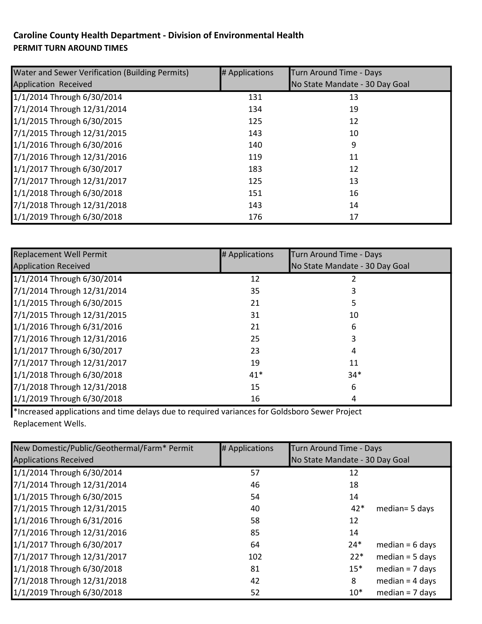## Caroline County Health Department - Division of Environmental Health PERMIT TURN AROUND TIMES

| Water and Sewer Verification (Building Permits) | # Applications | Turn Around Time - Days        |
|-------------------------------------------------|----------------|--------------------------------|
| Application Received                            |                | No State Mandate - 30 Day Goal |
| 1/1/2014 Through 6/30/2014                      | 131            | 13                             |
| 7/1/2014 Through 12/31/2014                     | 134            | 19                             |
| 1/1/2015 Through 6/30/2015                      | 125            | 12                             |
| 7/1/2015 Through 12/31/2015                     | 143            | 10                             |
| 1/1/2016 Through 6/30/2016                      | 140            | 9                              |
| 7/1/2016 Through 12/31/2016                     | 119            | 11                             |
| 1/1/2017 Through 6/30/2017                      | 183            | 12                             |
| 7/1/2017 Through 12/31/2017                     | 125            | 13                             |
| 1/1/2018 Through 6/30/2018                      | 151            | 16                             |
| 7/1/2018 Through 12/31/2018                     | 143            | 14                             |
| 1/1/2019 Through 6/30/2018                      | 176            | 17                             |

| <b>Replacement Well Permit</b> | # Applications | Turn Around Time - Days        |  |
|--------------------------------|----------------|--------------------------------|--|
| <b>Application Received</b>    |                | No State Mandate - 30 Day Goal |  |
| 1/1/2014 Through 6/30/2014     | 12             |                                |  |
| 7/1/2014 Through 12/31/2014    | 35             |                                |  |
| 1/1/2015 Through 6/30/2015     | 21             |                                |  |
| 7/1/2015 Through 12/31/2015    | 31             | 10                             |  |
| 1/1/2016 Through 6/31/2016     | 21             | 6                              |  |
| 7/1/2016 Through 12/31/2016    | 25             |                                |  |
| 1/1/2017 Through 6/30/2017     | 23             | 4                              |  |
| 7/1/2017 Through 12/31/2017    | 19             | 11                             |  |
| 1/1/2018 Through 6/30/2018     | $41*$          | $34*$                          |  |
| 7/1/2018 Through 12/31/2018    | 15             | 6                              |  |
| 1/1/2019 Through 6/30/2018     | 16             | 4                              |  |

\*Increased applications and time delays due to required variances for Goldsboro Sewer Project Replacement Wells.

| New Domestic/Public/Geothermal/Farm* Permit | # Applications | Turn Around Time - Days        |                   |
|---------------------------------------------|----------------|--------------------------------|-------------------|
| <b>Applications Received</b>                |                | No State Mandate - 30 Day Goal |                   |
| 1/1/2014 Through 6/30/2014                  | 57             | 12                             |                   |
| 7/1/2014 Through 12/31/2014                 | 46             | 18                             |                   |
| 1/1/2015 Through 6/30/2015                  | 54             | 14                             |                   |
| 7/1/2015 Through 12/31/2015                 | 40             | $42*$                          | median= 5 days    |
| 1/1/2016 Through 6/31/2016                  | 58             | 12                             |                   |
| 7/1/2016 Through 12/31/2016                 | 85             | 14                             |                   |
| 1/1/2017 Through 6/30/2017                  | 64             | $24*$                          | median = $6$ days |
| 7/1/2017 Through 12/31/2017                 | 102            | $22*$                          | $median = 5 days$ |
| 1/1/2018 Through 6/30/2018                  | 81             | $15*$                          | $median = 7$ days |
| 7/1/2018 Through 12/31/2018                 | 42             | 8                              | $median = 4$ days |
| 1/1/2019 Through 6/30/2018                  | 52             | $10*$                          | median = $7$ days |